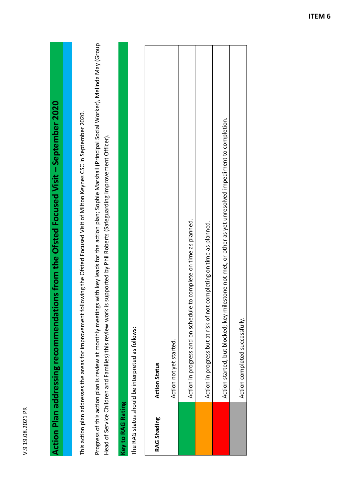| œ<br>٢ |
|--------|
| ۲<br>t |
| ς<br>٢ |
| o<br>¢ |
| c      |
| ٢      |
|        |

## Action Plan addressing recommendations from the Ofsted Focused Visit - September 2020 **Action Plan addressing recommendations from the Ofsted Focused Visit – September 2020**

This action plan addresses the areas for improvement following the Ofsted Focused Visit of Milton Keynes CSC in September 2020. This action plan addresses the areas for improvement following the Ofsted Focused Visit of Milton Keynes CSC in September 2020.

Progress of this action plan is review at monthly meetings with key leads for the action plan; Sophie Marshall (Principal Social Worker), Melinda May (Group Progress of this action plan is review at monthly meetings with key leads for the action plan; Sophie Marshall (Principal Social Worker), Melinda May (Group Head of Service Children and Families) this review work is supported by Phil Roberts (Safeguarding Improvement Officer). Head of Service Children and Families) this review work is supported by Phil Roberts (Safeguarding Improvement Officer).

## Key to RAG Rating **Key to RAG Rating**

The RAG status should be interpreted as follows: The PAG status should be interpreted as follows:

|             | THE KAG Status should be interpreted as follows:                                                             |
|-------------|--------------------------------------------------------------------------------------------------------------|
| RAG Shading | <b>Action Status</b>                                                                                         |
|             | Action not yet started.                                                                                      |
|             | Action in progress and on schedule to complete on time as planned.                                           |
|             | Action in progress but at risk of not completing on time as planned.                                         |
|             | ilestone not met, or other as yet unresolved impediment to completion.<br>Action started, but blocked; key m |
|             | Action completed successfully.                                                                               |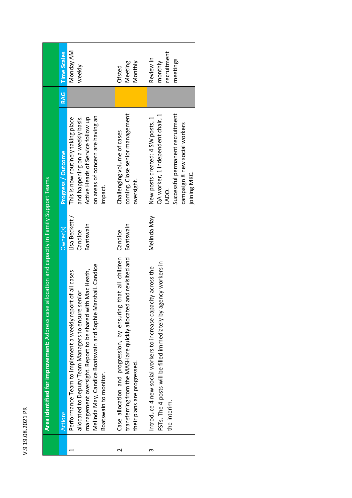| ٢<br>r<br>٢       |
|-------------------|
| ٢                 |
| ς<br>J.<br>r      |
| $\mathbf{c}$<br>¢ |
| с<br>۳            |
| ι                 |
|                   |

|   | Area identified for improvement: Address case allocation and capacity in Family Support Teams                                                                                                                                                                         |                                      |                                                                                                                                                                     |     |                                                 |
|---|-----------------------------------------------------------------------------------------------------------------------------------------------------------------------------------------------------------------------------------------------------------------------|--------------------------------------|---------------------------------------------------------------------------------------------------------------------------------------------------------------------|-----|-------------------------------------------------|
|   | Actions                                                                                                                                                                                                                                                               | $O$ wner $(s)$                       | Progress / Outcome                                                                                                                                                  | RAG | <b>Time Scales</b>                              |
|   | Melinda May, Candice Boatswain and Sophie Marshall. Candice<br>management oversight. Report to be shared with Mac Heath,<br>Performance Team to implement a weekly report of all cases<br>allocated to Deputy Team Managers to ensure senior<br>Boatswain to monitor. | Lisa Beckett<br>Boatswain<br>Candice | on areas of concern are having an<br>Active Heads of Service follow up<br>This is now routinely taking place<br>and happening on a weekly basis.<br>impact.         |     | Monday AM<br>weekly                             |
|   | Case allocation and progression, by ensuring that all children  <br>transferring from the MASH are quickly allocated and revisited and<br>their plans are progressed.                                                                                                 | Boatswain<br>Candice                 | coming. Close senior management<br>Challenging volume of cases<br>oversight.                                                                                        |     | Monthly<br>Meeting<br>Ofsted                    |
| m | FSTs. The 4 posts will be filled immediately by agency workers in<br>Introduce 4 new social workers to increase capacity across the<br>the interim.                                                                                                                   | Melinda May                          | Successful permanent recruitment<br>QA worker, 1 independent chair, 1<br>New posts created: 4 SW posts, 1<br>campaign 8 new social workers<br>joining MKC.<br>LADO. |     | recruitment<br>Review in<br>meetings<br>monthly |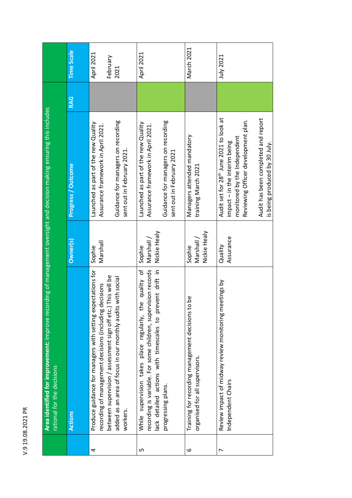|   | Area identified for improvement: Improve recording of management oversight and decision making ensuring this includes<br>rational for the decisions                                                                                                              |                                      |                                                                                                                                                                                                                                     |     |                                |
|---|------------------------------------------------------------------------------------------------------------------------------------------------------------------------------------------------------------------------------------------------------------------|--------------------------------------|-------------------------------------------------------------------------------------------------------------------------------------------------------------------------------------------------------------------------------------|-----|--------------------------------|
|   | <b>Actions</b>                                                                                                                                                                                                                                                   | Owner(s)                             | <b>Progress / Outcome</b>                                                                                                                                                                                                           | RAG | <b>Time Scale</b>              |
| 4 | Produce guidance for managers with setting expectations for<br>between supervision / assessment sign off etc.) This will be<br>added as an area of focus in our monthly audits with social<br>recording of management decisions (including decisions<br>workers. | Marshall<br>Sophie                   | Guidance for managers on recording<br>Launched as part of the new Quality<br>Assurance framework in April 2021.<br>sent out in February 2021.                                                                                       |     | April 2021<br>February<br>2021 |
| ഗ | While supervision takes place regularly, the quality of<br>recording is variable. For some children, supervision records<br>lack detailed actions with timescales to prevent drift in<br>progressing plans.                                                      | Nickie Healy<br>Marshall /<br>Sophie | Guidance for managers on recording<br>Launched as part of the new Quality<br>Assurance framework in April 2021.<br>sent out in February 2021                                                                                        |     | April 2021                     |
| ဖ | Training for recording management decisions to be<br>organised for all supervisors.                                                                                                                                                                              | Nickie Healy<br>Marshall /<br>Sophie | Managers attended mandatory<br>training March 2021                                                                                                                                                                                  |     | March 2021                     |
| ↖ | Review impact of midway review monitoring meetings by<br>Independent Chairs                                                                                                                                                                                      | Assurance<br>Quality                 | Audit set for 28 <sup>th</sup> June 2021 to look at<br>Audit has been completed and report<br>Reviewing Officer development plan.<br>monitored by the Independent<br>impact - in the interim being<br>is being produced by 30 July. |     | July 2021                      |

V.9 19.08.2021 PR

V.9 19.08.2021 PR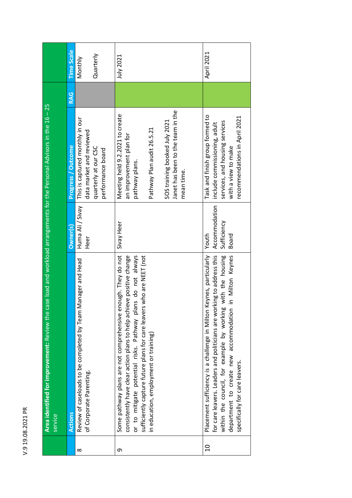| ć                |
|------------------|
|                  |
| י ההיה ה         |
|                  |
| $\frac{1}{\tau}$ |
| ς                |
|                  |

|                | Area identified for improvement: Review the case load and workload arrangements for the Personal Advisors in the 16 - 25<br>service                                                                                                                                                                                  |                                                |                                                                                                                                                                                                |     |                      |
|----------------|----------------------------------------------------------------------------------------------------------------------------------------------------------------------------------------------------------------------------------------------------------------------------------------------------------------------|------------------------------------------------|------------------------------------------------------------------------------------------------------------------------------------------------------------------------------------------------|-----|----------------------|
|                | Actions                                                                                                                                                                                                                                                                                                              | Owner(s)                                       | Progress / Outcome                                                                                                                                                                             | RAG | <b>Time Scale</b>    |
| $\infty$       | Manager and Head<br>Review of caseloads to be completed by Team I<br>of Corporate Parenting.                                                                                                                                                                                                                         | Huma Ali/Sivay<br>Heer                         | This is captured monthly in our<br>data market and reviewed<br>quarterly at our CSC<br>performance board                                                                                       |     | Quarterly<br>Monthly |
| თ              | Some pathway plans are not comprehensive enough. They do not<br>sufficiently capture future plans for care leavers who are NEET (not<br>consistently have clear action plans to help achieve positive change<br>or to mitigate potential risks. Pathway plans do not always<br>in education, employment or training) | Sivay Heer                                     | Janet has been to the team in the<br>Meeting held 9.2.2021 to create<br>SOS training booked July 2021<br>Pathway Plan audit 26.5.21<br>an improvement plan for<br>pathway plans.<br>mean time. |     | July 2021            |
| $\overline{c}$ | for care leavers. Leaders and politicians are working to address this<br>Keynes, particularly<br>in Milton Keynes<br>with the housing<br>within the council, for example by working<br>department to create new accommodation<br>Placement sufficiency is a challenge in Milton<br>specifically for care leavers.    | Accommodation<br>Sufficiency<br>Youth<br>Board | Task and finish group formed to<br>recommendations in April 2021<br>services, and housing services<br>include commissioning, adult<br>with a view to make                                      |     | April 2021           |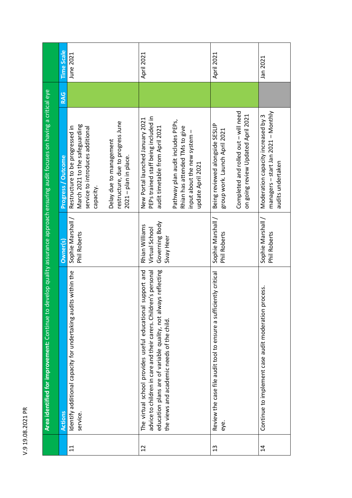| develop quality assurance approach ensuring audit focuses on having a critical eye<br>Area identified for improvement: Continue to | <b>Time Scale</b>  | June 2021                                                                                                                                                                                                   | April 2021                                                                                                                                                                                                                                     | April 2021                                                                                                                                     | Jan 2021                                                                                          |
|------------------------------------------------------------------------------------------------------------------------------------|--------------------|-------------------------------------------------------------------------------------------------------------------------------------------------------------------------------------------------------------|------------------------------------------------------------------------------------------------------------------------------------------------------------------------------------------------------------------------------------------------|------------------------------------------------------------------------------------------------------------------------------------------------|---------------------------------------------------------------------------------------------------|
|                                                                                                                                    | <b>RAG</b>         |                                                                                                                                                                                                             |                                                                                                                                                                                                                                                |                                                                                                                                                |                                                                                                   |
|                                                                                                                                    | Progress / Outcome | restructure, due to progress June<br>March 2021 to the safeguarding<br>Restructure to be progressed in<br>service to introduces additional<br>Delay due to management<br>2021 - plan in place.<br>capacity. | PEPs trained staff being included in<br>New Portal launched January 2021<br>Pathway plan audit includes PEPs,<br>Rhian has attended TMs to give<br>audit timetable from April 2021<br>input about the new system -<br>update April 2021        | Completed and rolled out - will need<br>on going review Updated April 2021<br>Being reviewed alongside SESLIP<br>group work. Launch April 2021 | $m$ anagers – start Jan 2021 – Monthly<br>Moderation capacity increased by 3<br>audits undertaken |
|                                                                                                                                    | Owner(s)           | Sophie Marshall<br>Phil Roberts                                                                                                                                                                             | Governing Body<br>Rhian Williams<br>Virtual School<br>Sivay Heer                                                                                                                                                                               | Sophie Marshall /<br>Phil Roberts                                                                                                              | Sophie Marshall /<br>Phil Roberts                                                                 |
|                                                                                                                                    | <b>Actions</b>     | Identify additional capacity for undertaking audits within the<br>service.                                                                                                                                  | The virtual school provides useful educational support and<br>education plans are of variable quality, not always reflecting<br>advice to children in care and their carers. Children's personal<br>the views and academic needs of the child. | ciently critical<br>Review the case file audit tool to ensure a suffi<br>eye.                                                                  | process.<br>Continue to implement case audit moderation                                           |
|                                                                                                                                    |                    | $\Xi$                                                                                                                                                                                                       | $\overline{12}$                                                                                                                                                                                                                                | $\frac{3}{2}$                                                                                                                                  | $\overline{4}$                                                                                    |

V.9 19.08.2021 PR

V.9 19.08.2021 PR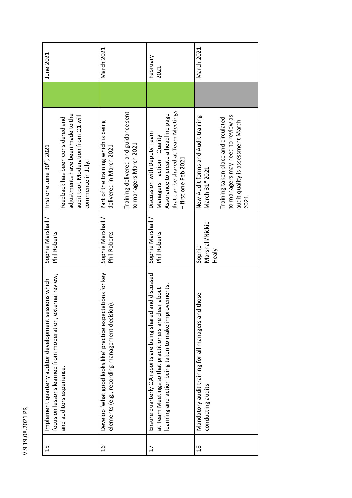| focus on lessons learned from moderation, external review,<br>Implement quarterly auditor development sessions which | Sophie Marshall /<br>Phil Roberts  | First one June 30th, 2021                                                                                                         | June 2021        |
|----------------------------------------------------------------------------------------------------------------------|------------------------------------|-----------------------------------------------------------------------------------------------------------------------------------|------------------|
| and auditors experience.                                                                                             |                                    | adjustments have been made to the<br>audit tool. Moderation from Q1 will<br>Feedback has been considered and<br>commence in July. |                  |
| Develop 'what good looks like' practice expectations for key<br>elements (e.g., recording management decision).      | Sophie Marshall<br>Phil Roberts    | Part of the training which is being<br>delivered in March 2021                                                                    | March 2021       |
|                                                                                                                      |                                    | Training delivered and guidance sent<br>to managers March 2021                                                                    |                  |
| Ensure quarterly QA reports are being shared and discussed<br>at Team Meetings so that practitioners are clear about | Sophie Marshall /<br>Phil Roberts  | Discussion with Deputy Team<br>Managers-action-Quality                                                                            | February<br>2021 |
| learning and action being taken to make improvements.                                                                |                                    | that can be shared at Team Meetings<br>Assurance to create a headline page<br>- first one Feb 2021                                |                  |
| those<br>Mandatory audit training for all managers and<br>conducting audits                                          | Marshall/Nickie<br>Sophie<br>Healy | New Audit forms and Audit training<br>March 31st 2021                                                                             | March 2021       |
|                                                                                                                      |                                    | to managers may need to review as<br>Training taken place and circulated<br>audit quality is assessment March<br>2021             |                  |

V.9 19.08.2021 PR

V.9 19.08.2021 PR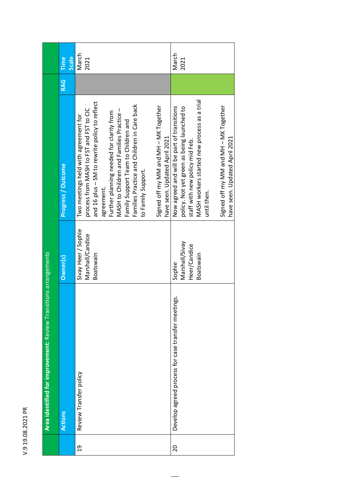| rr<br>с    |
|------------|
| t          |
| ٢          |
| C          |
| C          |
|            |
| $\alpha$   |
| ¢          |
| $\epsilon$ |
|            |
| ۳          |
| c          |
|            |
|            |

|                | Area identified for improvement: Review Transitions arrangements |                                                       |                                                                                                                                                                                                                                                                                                                                                                                                                            |     |                      |
|----------------|------------------------------------------------------------------|-------------------------------------------------------|----------------------------------------------------------------------------------------------------------------------------------------------------------------------------------------------------------------------------------------------------------------------------------------------------------------------------------------------------------------------------------------------------------------------------|-----|----------------------|
|                | Actions                                                          | Owner(s)                                              | Progress / Outcome                                                                                                                                                                                                                                                                                                                                                                                                         | RAG | <b>Scale</b><br>Time |
| $\overline{c}$ | Review Transfer policy                                           | Sivay Heer / Sophie<br>Marshall/Candice<br>Boatswain  | and 16 plus - SM to rewrite policy to reflect<br>Families Practice and Children in Care back<br>Signed off my MM and MH - MK Together<br>process from MASH to FST and FST to CIC<br>Further planning needed for clarity from<br>MASH to Children and Families Practice<br>Two meetings held with agreement for<br>Family Support Team to Children and<br>have seen. Updated April 2021<br>to Family Support.<br>agreement. |     | March<br>2021        |
| 20             | Develop agreed process for case transfer meetings.               | Marshall/Sivay<br>Heer/Candice<br>Boatswain<br>Sophie | MASH workers started new process as a trial<br>Signed off my MM and MH - MK Together<br>Now agreed and will be part of transitions<br>policy. Not yet green as being launched to<br>have seen. Updated April 2021<br>staff with new policy mid Feb.<br>until then.                                                                                                                                                         |     | March<br>2021        |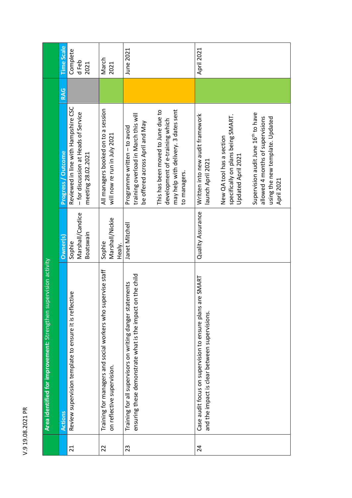| œ<br>r      |  |
|-------------|--|
| ۳<br>٢<br>C |  |
| ٢<br>c<br>¢ |  |
| c<br>۲      |  |
| ١           |  |

|                 | supervision activity<br>Area identified for improvement: Strengthen                                                          |                                         |                                                                                                                                      |     |                           |
|-----------------|------------------------------------------------------------------------------------------------------------------------------|-----------------------------------------|--------------------------------------------------------------------------------------------------------------------------------------|-----|---------------------------|
|                 | <b>Actions</b>                                                                                                               | Owner(s)                                | <b>Progress / Outcome</b>                                                                                                            | RAG | <b>Time Scale</b>         |
| $\overline{21}$ | lective<br>Review supervision template to ensure it is ref                                                                   | Marshall/Candice<br>Boatswain<br>Sophie | Reviewed in line with Hampshire CSC<br>- for discussion at Heads of Service<br>meeting 28.02.2021                                    |     | Complete<br>d Feb<br>2021 |
| 22              | supervise staff<br>Training for managers and social workers who<br>on reflective supervision.                                | Marshall/Nickie<br>Sophie<br>Healv.     | All managers booked on to a session<br>will now re run in July 2021                                                                  |     | March<br>2021             |
| 23              | ensuring these demonstrate what is the impact on the child<br>tatements<br>Training for all supervisors on writing danger st | Janet Mitchell                          | training overload in March this will<br>be offered across April and May<br>Programme written - to avoid                              |     | June 2021                 |
|                 |                                                                                                                              |                                         | may help with delivery. 3 dates sent<br>This has been moved to June due to<br>development of e-training which<br>to managers.        |     |                           |
| 24              | Case audit focus on supervision to ensure plans are SMART<br>and the impact is clear between supervisions.                   | Quality Assurance                       | Written into new audit framework<br>launch April 2021                                                                                |     | April 2021                |
|                 |                                                                                                                              |                                         | specifically on plans being SMART.<br>New QA tool has a section<br>Updated April 2021                                                |     |                           |
|                 |                                                                                                                              |                                         | Supervision audit June 16 <sup>th</sup> to have<br>allowed 4 months of supervisions<br>using the new template. Updated<br>April 2021 |     |                           |